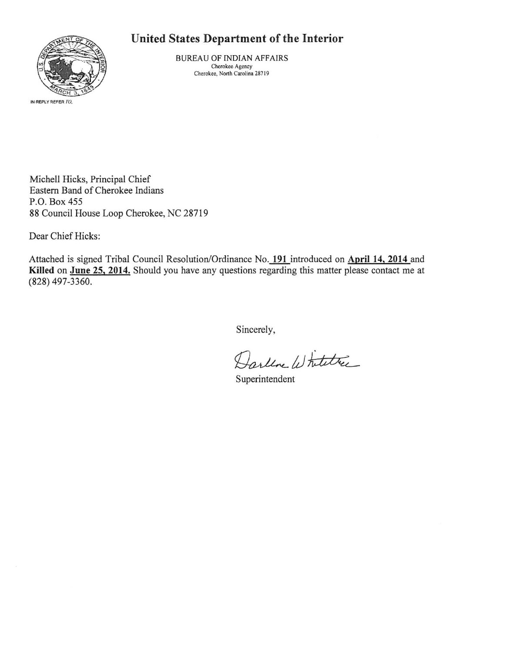## **United States Department of the Interior**



BUREAU OF INDIAN AFFAIRS **Cherokee Agency Cherokee, North Carolina 287 19** 

Michell Hicks, Principal Chief Eastern Band of Cherokee Indians P.O. Box 455 88 Council House Loop Cherokee, NC 28719

Dear Chief Hicks:

Attached is signed Tribal Council Resolution/Ordinance No. 191 introduced on April 14, 2014 and **Killed on June 25, 2014.** Should you have any questions regarding this matter please contact me at (828) 497-3360.

Sincerely,

Darline Whitetree

Superintendent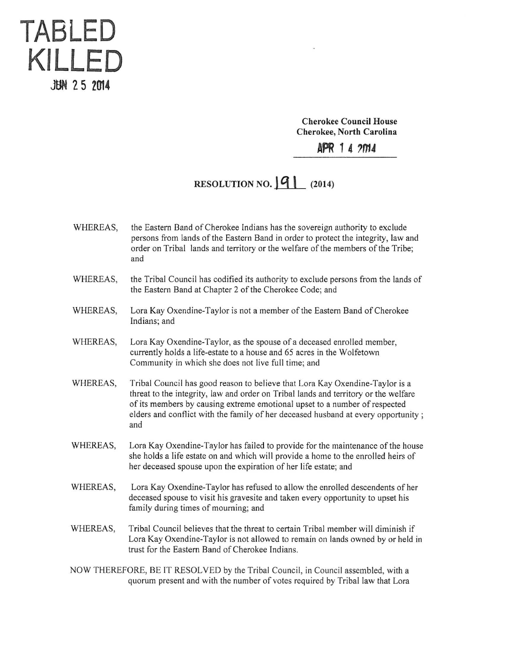

Cherokee Council House Cherokee, North Carolina

APR 1 4 2014

## RESOLUTION NO.  $|q|$  (2014)

- WHEREAS, the Eastern Band of Cherokee Indians has the sovereign authority to exclude persons from lands of the Eastern Band in order to protect the integrity, law and order on Tribal lands and territory or the welfare of the members of the Tribe; and
- WHEREAS, the Tribal Council has codified its authority to exclude persons from the lands of the Eastern Band at Chapter 2 of the Cherokee Code; and
- WHEREAS, Lora Kay Oxendine-Taylor is not a member of the Eastern Band of Cherokee Indians; and
- WHEREAS, Lora Kay Oxendine-Taylor, as the spouse of a deceased enrolled member, currently holds a life-estate to a house and 65 acres in the Wolfetown Community in which she does not live full time; and
- WHEREAS, Tribal Council has good reason to believe that Lora Kay Oxendine-Taylor is a threat to the integrity, law and order on Tribal lands and territory or the welfare of its members by causing extreme emotional upset to a number of respected elders and conflict with the family of her deceased husband at every opportunity : and
- WHEREAS, Lora Kay Oxendine-Taylor has failed to provide for the maintenance of the house she holds a life estate on and which will provide a home to the enrolled heirs of her deceased spouse upon the expiration of her life estate; and
- WHEREAS, Lora Kay Oxendine-Taylor has refused to allow the enrolled descendents of her deceased spouse to visit his gravesite and taken every opportunity to upset his family during times of mourning; and
- WHEREAS, Tribal Council believes that the threat to certain Tribal member will diminish if Lora Kay Oxendine-Taylor is not allowed to remain on lands owned by or held in trust for the Eastern Band of Cherokee Indians.
- NOW THEREFORE, BE IT RESOLVED by the Tribal Council, in Council assembled, with a quorum present and with the number of votes required by Tribal law that Lora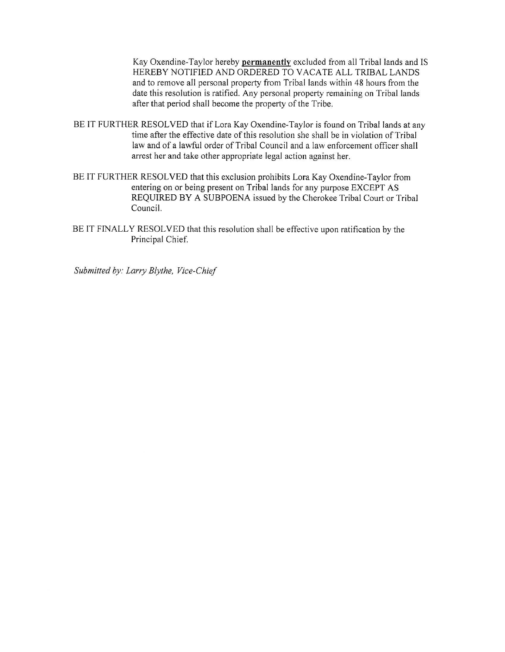Kay Oxendine-Taylor hereby **permanently** excluded from all Tribal lands and IS HEREBY NOTIFIED AND ORDERED TO VACATE ALL TRIBAL LANDS and to remove all personal property from Tribal lands within 48 hours from the date this resolution is ratified. Any personal property remaining on Tribal lands after that period shall become the property of the Tribe.

- BE IT FURTHER RESOLVED that if Lora Kay Oxendine-Taylor is found on Tribal lands at any time after the effective date of this resolution she shall be in violation of Tribal law and of a lawful order of Tribal Council and a law enforcement officer shall arrest her and take other appropriate legal action against her.
- BE IT FURTHER RESOLVED that this exclusion prohibits Lora Kay Oxendine-Taylor from entering on or being present on Tribal lands for any purpose EXCEPT AS REQUIRED BY A SUBPOENA issued by the Cherokee Tribal Court or Tribal Council.
- BE IT FINALLY RESOLVED that this resolution shall be effective upon ratification by the Principal Chief.

*Submitted by: Larry Blythe, Vice-Chief*